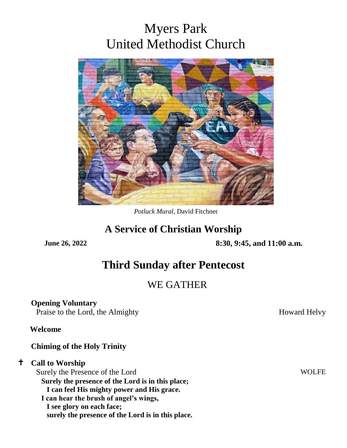# Myers Park United Methodist Church



*Potluck Mural*, David Fitchner

## **A Service of Christian Worship**

**June 26, 2022 8:30, 9:45, and 11:00 a.m.**

## **Third Sunday after Pentecost**

## WE GATHER

## **Opening Voluntary**

Praise to the Lord, the Almighty Howard Helvy

#### **Welcome**

#### **Chiming of the Holy Trinity**

#### **Call to Worship**

Surely the Presence of the Lord WOLFE **Surely the presence of the Lord is in this place; I can feel His mighty power and His grace. I can hear the brush of angel's wings, I see glory on each face; surely the presence of the Lord is in this place.**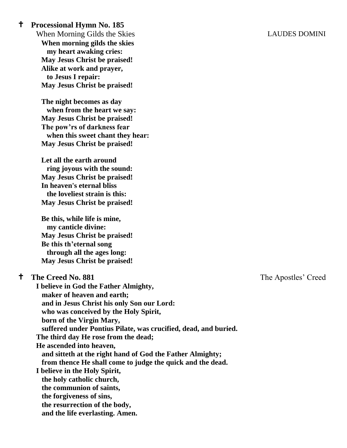**Processional Hymn No. 185**

When Morning Gilds the Skies LAUDES DOMINI **When morning gilds the skies my heart awaking cries: May Jesus Christ be praised! Alike at work and prayer, to Jesus I repair: May Jesus Christ be praised!**

**The night becomes as day when from the heart we say: May Jesus Christ be praised! The pow'rs of darkness fear when this sweet chant they hear: May Jesus Christ be praised!**

**Let all the earth around ring joyous with the sound: May Jesus Christ be praised! In heaven's eternal bliss the loveliest strain is this: May Jesus Christ be praised!**

**Be this, while life is mine, my canticle divine: May Jesus Christ be praised! Be this th'eternal song through all the ages long: May Jesus Christ be praised!**

#### **The Creed No. 881** The Apostles' Creed

 **I believe in God the Father Almighty, maker of heaven and earth; and in Jesus Christ his only Son our Lord: who was conceived by the Holy Spirit, born of the Virgin Mary, suffered under Pontius Pilate, was crucified, dead, and buried. The third day He rose from the dead; He ascended into heaven, and sitteth at the right hand of God the Father Almighty; from thence He shall come to judge the quick and the dead. I believe in the Holy Spirit, the holy catholic church, the communion of saints, the forgiveness of sins, the resurrection of the body, and the life everlasting. Amen.**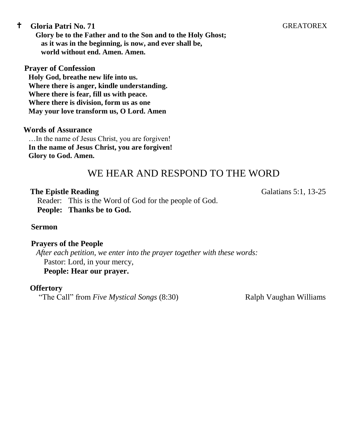#### <sup>t</sup> Gloria Patri No. 71 **GREATOREX**

**Glory be to the Father and to the Son and to the Holy Ghost; as it was in the beginning, is now, and ever shall be, world without end. Amen. Amen.**

#### **Prayer of Confession**

**Holy God, breathe new life into us. Where there is anger, kindle understanding. Where there is fear, fill us with peace. Where there is division, form us as one May your love transform us, O Lord. Amen**

**Words of Assurance**  …In the name of Jesus Christ, you are forgiven! **In the name of Jesus Christ, you are forgiven! Glory to God. Amen.**

## WE HEAR AND RESPOND TO THE WORD

#### **The Epistle Reading** Galatians 5:1, 13-25

Reader: This is the Word of God for the people of God. **People: Thanks be to God.**

#### **Sermon**

#### **Prayers of the People**

*After each petition, we enter into the prayer together with these words:* Pastor: Lord, in your mercy,

**People: Hear our prayer.**

#### **Offertory**

"The Call" from *Five Mystical Songs* (8:30) Ralph Vaughan Williams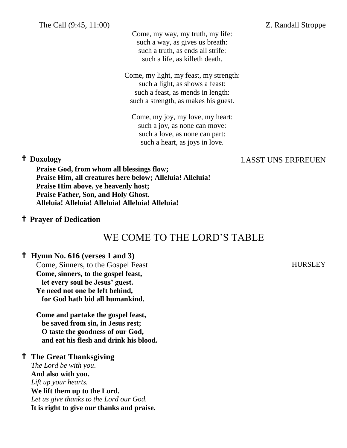The Call (9:45, 11:00) Z. Randall Stroppe

Come, my way, my truth, my life: such a way, as gives us breath: such a truth, as ends all strife: such a life, as killeth death.

Come, my light, my feast, my strength: such a light, as shows a feast: such a feast, as mends in length: such a strength, as makes his guest.

Come, my joy, my love, my heart: such a joy, as none can move: such a love, as none can part: such a heart, as joys in love.

## **Doxology** LASST UNS ERFREUEN

**Praise God, from whom all blessings flow; Praise Him, all creatures here below; Alleluia! Alleluia! Praise Him above, ye heavenly host; Praise Father, Son, and Holy Ghost. Alleluia! Alleluia! Alleluia! Alleluia! Alleluia!**

#### **Prayer of Dedication**

## WE COME TO THE LORD'S TABLE

#### **Hymn No. 616 (verses 1 and 3)**

Come, Sinners, to the Gospel Feast HURSLEY **Come, sinners, to the gospel feast, let every soul be Jesus' guest. Ye need not one be left behind, for God hath bid all humankind.**

**Come and partake the gospel feast, be saved from sin, in Jesus rest; O taste the goodness of our God, and eat his flesh and drink his blood.**

### **The Great Thanksgiving**

 *The Lord be with you*. **And also with you.** *Lift up your hearts.*  **We lift them up to the Lord.** *Let us give thanks to the Lord our God.* **It is right to give our thanks and praise.**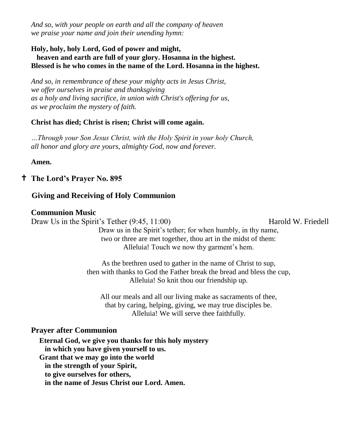*And so, with your people on earth and all the company of heaven we praise your name and join their unending hymn:*

#### **Holy, holy, holy Lord, God of power and might, heaven and earth are full of your glory. Hosanna in the highest. Blessed is he who comes in the name of the Lord. Hosanna in the highest.**

*And so, in remembrance of these your mighty acts in Jesus Christ, we offer ourselves in praise and thanksgiving as a holy and living sacrifice, in union with Christ's offering for us, as we proclaim the mystery of faith.*

#### **Christ has died; Christ is risen; Christ will come again.**

*…Through your Son Jesus Christ, with the Holy Spirit in your holy Church, all honor and glory are yours, almighty God, now and forever.*

#### **Amen.**

### **The Lord's Prayer No. 895**

### **Giving and Receiving of Holy Communion**

#### **Communion Music**

Draw Us in the Spirit's Tether (9:45, 11:00) Harold W. Friedell

Draw us in the Spirit's tether; for when humbly, in thy name, two or three are met together, thou art in the midst of them: Alleluia! Touch we now thy garment's hem.

As the brethren used to gather in the name of Christ to sup, then with thanks to God the Father break the bread and bless the cup, Alleluia! So knit thou our friendship up.

All our meals and all our living make as sacraments of thee, that by caring, helping, giving, we may true disciples be. Alleluia! We will serve thee faithfully.

#### **Prayer after Communion**

**Eternal God, we give you thanks for this holy mystery in which you have given yourself to us. Grant that we may go into the world in the strength of your Spirit, to give ourselves for others, in the name of Jesus Christ our Lord. Amen.**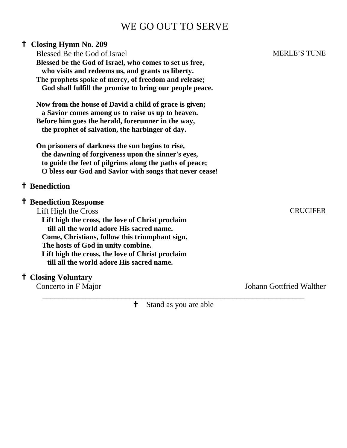## WE GO OUT TO SERVE

| <sup>†</sup> Closing Hymn No. 209                        |                                 |
|----------------------------------------------------------|---------------------------------|
| Blessed Be the God of Israel                             | <b>MERLE'S TUNE</b>             |
| Blessed be the God of Israel, who comes to set us free,  |                                 |
| who visits and redeems us, and grants us liberty.        |                                 |
| The prophets spoke of mercy, of freedom and release;     |                                 |
| God shall fulfill the promise to bring our people peace. |                                 |
| Now from the house of David a child of grace is given;   |                                 |
| a Savior comes among us to raise us up to heaven.        |                                 |
| Before him goes the herald, forerunner in the way,       |                                 |
| the prophet of salvation, the harbinger of day.          |                                 |
| On prisoners of darkness the sun begins to rise,         |                                 |
| the dawning of forgiveness upon the sinner's eyes,       |                                 |
| to guide the feet of pilgrims along the paths of peace;  |                                 |
| O bless our God and Savior with songs that never cease!  |                                 |
| <sup>†</sup> Benediction                                 |                                 |
| <sup>†</sup> Benediction Response                        |                                 |
| Lift High the Cross                                      | <b>CRUCIFER</b>                 |
| Lift high the cross, the love of Christ proclaim         |                                 |
| till all the world adore His sacred name.                |                                 |
| Come, Christians, follow this triumphant sign.           |                                 |
| The hosts of God in unity combine.                       |                                 |
| Lift high the cross, the love of Christ proclaim         |                                 |
| till all the world adore His sacred name.                |                                 |
| <sup>†</sup> Closing Voluntary                           |                                 |
| Concerto in F Major                                      | <b>Johann Gottfried Walther</b> |

**\_\_\_\_\_\_\_\_\_\_\_\_\_\_\_\_\_\_\_\_\_\_\_\_\_\_\_\_\_\_\_\_\_\_\_\_\_\_\_\_\_\_\_\_\_\_\_\_\_\_\_\_\_\_\_\_\_\_\_\_\_\_\_\_\_\_** Stand as you are able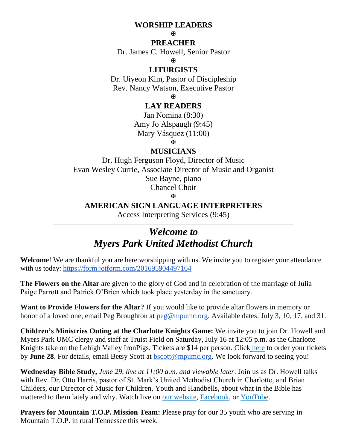#### **WORSHIP LEADERS**

H.

#### **PREACHER**

Dr. James C. Howell, Senior Pastor

 $\mathbf{H}$ 

#### **LITURGISTS**

Dr. Uiyeon Kim, Pastor of Discipleship Rev. Nancy Watson, Executive Pastor

Ň.

#### **LAY READERS**

Jan Nomina (8:30) Amy Jo Alspaugh (9:45) Mary Vásquez (11:00)

Ň.

#### **MUSICIANS**

Dr. Hugh Ferguson Floyd, Director of Music Evan Wesley Currie, Associate Director of Music and Organist Sue Bayne, piano Chancel Choir

Ň.

#### **AMERICAN SIGN LANGUAGE INTERPRETERS**

Access Interpreting Services (9:45) \_\_\_\_\_\_\_\_\_\_\_\_\_\_\_\_\_\_\_\_\_\_\_\_\_\_\_\_\_\_\_\_\_\_\_\_\_\_\_\_\_\_\_\_\_\_\_\_\_\_\_\_\_\_\_\_\_\_\_\_\_\_\_\_\_\_\_\_\_\_\_\_\_\_\_\_\_\_\_\_\_\_\_\_\_

## *Welcome to Myers Park United Methodist Church*

**Welcome**! We are thankful you are here worshipping with us. We invite you to register your attendance with us today:<https://form.jotform.com/201695904497164>

**The Flowers on the Altar** are given to the glory of God and in celebration of the marriage of Julia Paige Parrott and Patrick O'Brien which took place yesterday in the sanctuary.

**Want to Provide Flowers for the Altar?** If you would like to provide altar flowers in memory or honor of a loved one, email Peg Broughton at  $\text{peg@mpumc.org}$ . Available dates: July 3, 10, 17, and 31.

**Children's Ministries Outing at the Charlotte Knights Game:** We invite you to join Dr. Howell and Myers Park UMC clergy and staff at Truist Field on Saturday, July 16 at 12:05 p.m. as the Charlotte Knights take on the Lehigh Valley IronPigs. Tickets are \$14 per person. Click [here](https://onrealm.org/MyersParkUMC/PublicRegistrations/Event?linkString=YTlmMWVhMGQtZTZjNS00Yjk3LTlhMDYtYWVhNzAwYzY5OTc2) to order your tickets by **June 28**. For details, email Betsy Scott at [bscott@mpumc.org.](mailto:bscott@mpumc.org) We look forward to seeing you!

**Wednesday Bible Study,** *June 29, live at 11:00 a.m. and viewable later*: Join us as Dr. Howell talks with Rev. Dr. Otto Harris, pastor of St. Mark's United Methodist Church in Charlotte, and Brian Childers, our Director of Music for Children, Youth and Handbells, about what in the Bible has mattered to them lately and why. Watch live on [our website,](https://myersparkumc.org/event/wednesdaybiblestudy/) [Facebook,](https://m.facebook.com/myersparkumc) or [YouTube.](https://www.youtube.com/channel/UCG5KFlPdLm8WOu2HxB2gmQg)

**Prayers for Mountain T.O.P. Mission Team:** Please pray for our 35 youth who are serving in Mountain T.O.P. in rural Tennessee this week.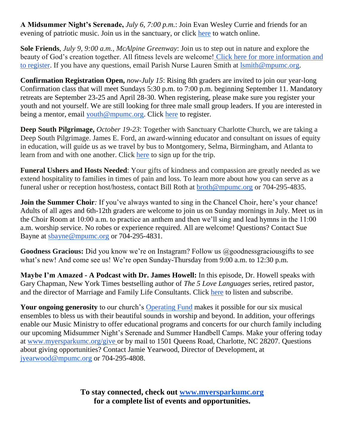**A Midsummer Night's Serenade,** *July 6, 7:00 p.m.*: Join Evan Wesley Currie and friends for an evening of patriotic music. Join us in the sanctuary, or click [here](https://myersparkumc.org/worship-with-us/watch-live/) to watch online.

**Sole Friends**, *July 9, 9:00 a.m., McAlpine Greenway*: Join us to step out in nature and explore the beauty of God's creation together. All fitness levels are welcome! [Click here for more information and](https://www.signupgenius.com/go/805094bafae2fa0f58-sole1)  [to register.](https://www.signupgenius.com/go/805094bafae2fa0f58-sole1) If you have any questions, email Parish Nurse Lauren Smith at [lsmith@mpumc.org.](mailto:lsmith@mpumc.org)

**Confirmation Registration Open,** *now-July 15*: Rising 8th graders are invited to join our year-long Confirmation class that will meet Sundays 5:30 p.m. to 7:00 p.m. beginning September 11. Mandatory retreats are September 23-25 and April 28-30. When registering, please make sure you register your youth and not yourself. We are still looking for three male small group leaders. If you are interested in being a mentor, email [youth@mpumc.org.](mailto:youth@mpumc.org) Click [here](https://onrealm.org/MyersParkUMC/PublicRegistrations/Event?linkString=NmNkMjdmYzMtZjhlZC00MDM0LTkzMzMtYWVhMTAxMDAzMmUy) to register.

**Deep South Pilgrimage,** *October 19-23*: Together with Sanctuary Charlotte Church, we are taking a Deep South Pilgrimage. James E. Ford, an award-winning educator and consultant on issues of equity in education, will guide us as we travel by bus to Montgomery, Selma, Birmingham, and Atlanta to learn from and with one another. Click [here](https://onrealm.org/MyersParkUMC/PublicRegistrations/Event?linkString=NDc1NjJhMGEtNDNkNi00NDlmLWI1NGUtYWViYjAwZjgyNjEy) to sign up for the trip.

**Funeral Ushers and Hosts Needed**: Your gifts of kindness and compassion are greatly needed as we extend hospitality to families in times of pain and loss. To learn more about how you can serve as a funeral usher or reception host/hostess, contact Bill Roth at [broth@mpumc.org](mailto:broth@mpumc.org) or 704-295-4835.

**Join the Summer Choir**: If you've always wanted to sing in the Chancel Choir, here's your chance! Adults of all ages and 6th-12th graders are welcome to join us on Sunday mornings in July. Meet us in the Choir Room at 10:00 a.m. to practice an anthem and then we'll sing and lead hymns in the 11:00 a.m. worship service. No robes or experience required. All are welcome! Questions? Contact Sue Bayne at [sbayne@mpumc.org](mailto:sbayne@mpumc.org) or 704-295-4831.

Goodness Gracious: Did you know we're on Instagram? Follow us @goodnessgraciousgifts to see what's new! And come see us! We're open Sunday-Thursday from 9:00 a.m. to 12:30 p.m.

**Maybe I'm Amazed - A Podcast with Dr. James Howell:** In this episode, Dr. Howell speaks with Gary Chapman, New York Times bestselling author of *The 5 Love Languages* series, retired pastor, and the director of Marriage and Family Life Consultants. Click [here](https://cltbeautiful.libsyn.com/) to listen and subscribe.

Your ongoing generosity to our church's [Operating](https://myersparkumc.org/give/#operating-fund) Fund makes it possible for our six musical ensembles to bless us with their beautiful sounds in worship and beyond. In addition, your offerings enable our Music Ministry to offer educational programs and concerts for our church family including our upcoming Midsummer Night's Serenade and Summer Handbell Camps. Make your offering today at [www.myersparkumc.org/give](http://www.myersparkumc.org/give) or by mail to 1501 Queens Road, Charlotte, NC 28207. Questions about giving opportunities? Contact Jamie Yearwood, Director of Development, at [jyearwood@mpumc.org](mailto:jyearwood@mpumc.org) or 704-295-4808.

> **To stay connected, check out [www.myersparkumc.org](http://www.myersparkumc.org/) for a complete list of events and opportunities.**